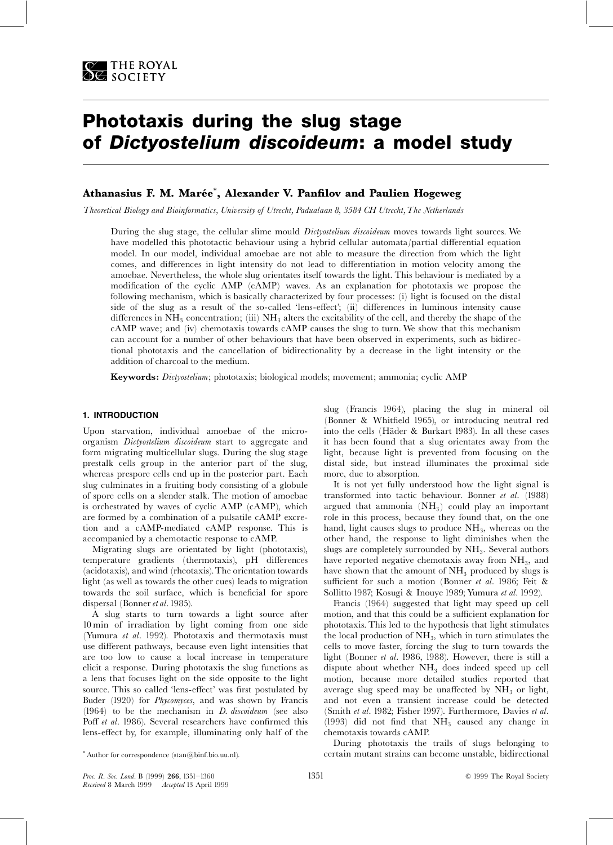

# Phototaxis during the slug stage of Dictyostelium discoideum: a model study

# Athanasius F. M. Marée $^\ast,$  Alexander V. Panfilov and Paulien Hogeweg

Theoretical Biology and Bioinformatics, University of Utrecht, Padualaan 8, 3584 CH Utrecht,The Netherlands

During the slug stage, the cellular slime mould *Dictyostelium discoideum* moves towards light sources. We have modelled this phototactic behaviour using a hybrid cellular automata/partial differential equation model. In our model, individual amoebae are not able to measure the direction from which the light comes, and differences in light intensity do not lead to differentiation in motion velocity among the amoebae. Nevertheless, the whole slug orientates itself towards the light. This behaviour is mediated by a modification of the cyclic AMP (cAMP) waves. As an explanation for phototaxis we propose the following mechanism, which is basically characterized by four processes: (i) light is focused on the distal side of the slug as a result of the so-called 'lens-effect'; (ii) differences in luminous intensity cause differences in  $NH<sub>3</sub>$  concentration; (iii)  $NH<sub>3</sub>$  alters the excitability of the cell, and thereby the shape of the cAMP wave; and (iv) chemotaxis towards cAMP causes the slug to turn. We show that this mechanism can account for a number of other behaviours that have been observed in experiments, such as bidirectional phototaxis and the cancellation of bidirectionality by a decrease in the light intensity or the addition of charcoal to the medium.

Keywords: Dictyostelium; phototaxis; biological models; movement; ammonia; cyclic AMP

# 1. INTRODUCTION

Upon starvation, individual amoebae of the microorganism Dictyostelium discoideum start to aggregate and form migrating multicellular slugs. During the slug stage prestalk cells group in the anterior part of the slug, whereas prespore cells end up in the posterior part. Each slug culminates in a fruiting body consisting of a globule of spore cells on a slender stalk. The motion of amoebae is orchestrated by waves of cyclic AMP (cAMP), which are formed by a combination of a pulsatile cAMP excretion and a cAMP-mediated cAMP response. This is accompanied by a chemotactic response to cAMP.

Migrating slugs are orientated by light (phototaxis), temperature gradients (thermotaxis), pH differences (acidotaxis), and wind (rheotaxis).The orientation towards light (as well as towards the other cues) leads to migration towards the soil surface, which is beneficial for spore dispersal (Bonner et al. 1985).

A slug starts to turn towards a light source after 10 min of irradiation by light coming from one side (Yumura et al. 1992). Phototaxis and thermotaxis must use different pathways, because even light intensities that are too low to cause a local increase in temperature elicit a response. During phototaxis the slug functions as a lens that focuses light on the side opposite to the light source. This so called 'lens-effect' was first postulated by Buder (1920) for Phycomyces, and was shown by Francis (1964) to be the mechanism in D. discoideum (see also Poff et al. 1986). Several researchers have confirmed this lens-effect by, for example, illuminating only half of the

slug (Francis 1964), placing the slug in mineral oil (Bonner & Whit¢eld 1965), or introducing neutral red into the cells (Häder & Burkart 1983). In all these cases it has been found that a slug orientates away from the light, because light is prevented from focusing on the distal side, but instead illuminates the proximal side more, due to absorption.

It is not yet fully understood how the light signal is transformed into tactic behaviour. Bonner et al. (1988) argued that ammonia  $(NH_3)$  could play an important role in this process, because they found that, on the one hand, light causes slugs to produce  $NH<sub>3</sub>$ , whereas on the other hand, the response to light diminishes when the slugs are completely surrounded by  $NH<sub>3</sub>$ . Several authors have reported negative chemotaxis away from NH<sub>3</sub>, and have shown that the amount of  $NH<sub>3</sub>$  produced by slugs is sufficient for such a motion (Bonner et al. 1986; Feit & Sollitto 1987; Kosugi & Inouye 1989; Yumura et al. 1992).

Francis (1964) suggested that light may speed up cell motion, and that this could be a sufficient explanation for phototaxis. This led to the hypothesis that light stimulates the local production of  $NH<sub>3</sub>$ , which in turn stimulates the cells to move faster, forcing the slug to turn towards the light (Bonner et al. 1986, 1988). However, there is still a dispute about whether  $NH<sub>3</sub>$  does indeed speed up cell motion, because more detailed studies reported that average slug speed may be unaffected by  $NH<sub>3</sub>$  or light, and not even a transient increase could be detected (Smith et al. 1982; Fisher 1997). Furthermore, Davies et al. (1993) did not find that  $NH<sub>3</sub>$  caused any change in chemotaxis towards cAMP.

During phototaxis the trails of slugs belonging to certain mutant strains can become unstable, bidirectional

<sup>\*</sup> Author for correspondence (stan@binf.bio.uu.nl).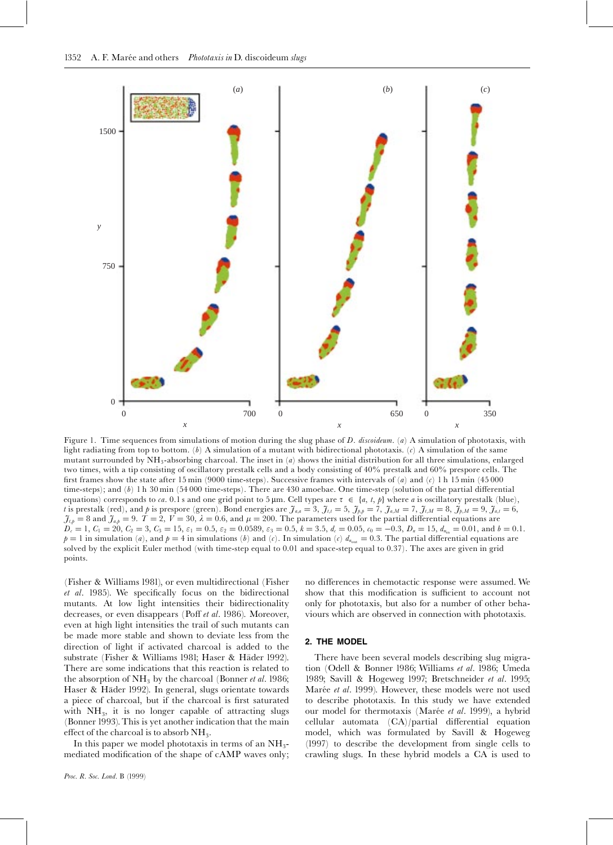

Figure 1. Time sequences from simulations of motion during the slug phase of D. discoideum. (a) A simulation of phototaxis, with light radiating from top to bottom. (b) A simulation of a mutant with bidirectional phototaxis. (c) A simulation of the same mutant surrounded by  $NH_3$ -absorbing charcoal. The inset in  $(a)$  shows the initial distribution for all three simulations, enlarged two times, with a tip consisting of oscillatory prestalk cells and a body consisting of 40% prestalk and 60% prespore cells. The first frames show the state after 15 min (9000 time-steps). Successive frames with intervals of (a) and (c) 1 h 15 min (45 000 time-steps); and  $(b)$  1 h 30 min (54 000 time-steps). There are 430 amoebae. One time-step (solution of the partial differential equations) corresponds to ca. 0.1 s and one grid point to 5  $\mu$ m. Cell types are  $\tau \in \{a, t, p\}$  where a is oscillatory prestalk (blue), t is prestalk (red), and p is prespore (green). Bond energies are  $\mathcal{J}_{a,a} = 3$ ,  $\mathcal{J}_{t,t} = 5$ ,  $\mathcal{J}_{p,b} = 7$ ,  $\mathcal{J}_{a,M} = 7$ ,  $\mathcal{J}_{t,M} = 8$ ,  $\mathcal{J}_{p,M} = 9$ ,  $\mathcal{J}_{a,t} = 6$ ,  $\tilde{J}_{\mu} = 8$  and  $\tilde{J}_{a,p} = 9$ .  $T = 2$ ,  $V = 30$ ,  $\lambda = 0.6$ , and  $\mu = 200$ . The parameters used for the partial differential equations are  $D_c = 1$ ,  $C_1 = 20$ ,  $C_2 = 3$ ,  $C_3 = 15$ ,  $\varepsilon_1 = 0.5$ ,  $\varepsilon_2 = 0.0589$ ,  $\varepsilon_3 = 0.5$ ,  $k = 3.5$ ,  $d_c = 0.05$ ,  $c_0 = -0.3$ ,  $D_n = 15$ ,  $d_{n_{\text{in}}} = 0.01$ , and  $b = 0.1$ .  $p = 1$  in simulation (a), and  $p = 4$  in simulations (b) and (c). In simulation (c)  $d_{n_{\text{out}}} = 0.3$ . The partial differential equations are solved by the explicit Euler method (with time-step equal to 0.01 and space-step equal to 0.37). The axes are given in grid points.

(Fisher & Williams 1981), or even multidirectional (Fisher  $et$   $al.$  1985). We specifically focus on the bidirectional mutants. At low light intensities their bidirectionality decreases, or even disappears (Poff et al. 1986). Moreover, even at high light intensities the trail of such mutants can be made more stable and shown to deviate less from the direction of light if activated charcoal is added to the substrate (Fisher & Williams 1981; Haser & Häder 1992). There are some indications that this reaction is related to the absorption of  $NH_3$  by the charcoal (Bonner *et al.* 1986; Haser & Häder 1992). In general, slugs orientate towards a piece of charcoal, but if the charcoal is first saturated with  $NH<sub>3</sub>$ , it is no longer capable of attracting slugs (Bonner 1993). This is yet another indication that the main effect of the charcoal is to absorb  $NH<sub>3</sub>$ .

In this paper we model phototaxis in terms of an  $NH_3$ mediated modification of the shape of cAMP waves only; no differences in chemotactic response were assumed. We show that this modification is sufficient to account not only for phototaxis, but also for a number of other behaviours which are observed in connection with phototaxis.

#### 2. THE MODEL

There have been several models describing slug migration (Odell & Bonner 1986; Williams et al. 1986; Umeda 1989; Savill & Hogeweg 1997; Bretschneider et al. 1995; Marée et al. 1999). However, these models were not used to describe phototaxis. In this study we have extended our model for thermotaxis (Marée et al. 1999), a hybrid  $cellular$  automata  $(CA)/partial$  differential equation model, which was formulated by Savill & Hogeweg (1997) to describe the development from single cells to crawling slugs. In these hybrid models a CA is used to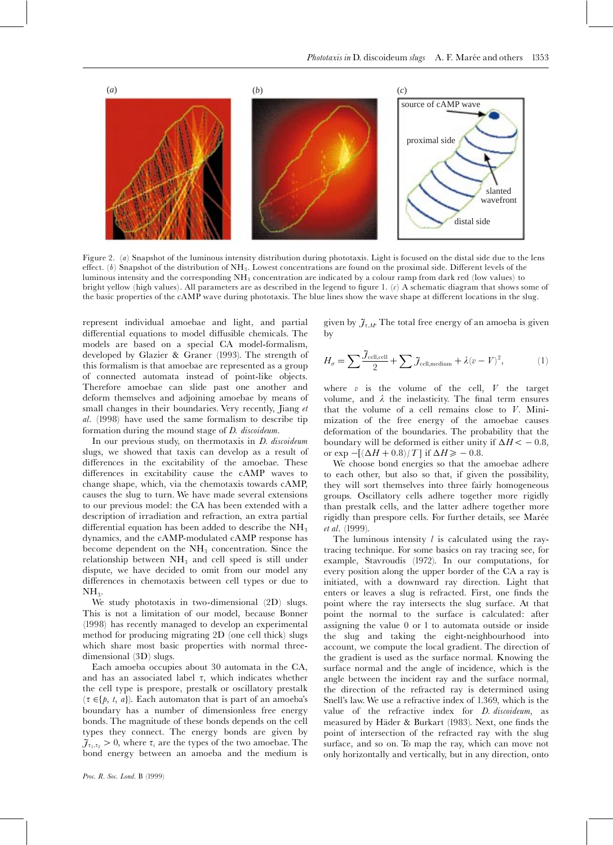

Figure 2. (a) Snapshot of the luminous intensity distribution during phototaxis. Light is focused on the distal side due to the lens effect. (b) Snapshot of the distribution of  $NH_3$ . Lowest concentrations are found on the proximal side. Different levels of the luminous intensity and the corresponding NH3 concentration are indicated by a colour ramp from dark red (low values) to bright yellow (high values). All parameters are as described in the legend to figure 1.  $(c)$  A schematic diagram that shows some of the basic properties of the cAMP wave during phototaxis. The blue lines show the wave shape at different locations in the slug.

represent individual amoebae and light, and partial differential equations to model diffusible chemicals. The models are based on a special CA model-formalism, developed by Glazier & Graner (1993). The strength of this formalism is that amoebae are represented as a group of connected automata instead of point-like objects. Therefore amoebae can slide past one another and deform themselves and adjoining amoebae by means of small changes in their boundaries. Very recently, Jiang et al. (1998) have used the same formalism to describe tip formation during the mound stage of D. discoideum.

In our previous study, on thermotaxis in *D. discoideum* slugs, we showed that taxis can develop as a result of differences in the excitability of the amoebae. These differences in excitability cause the cAMP waves to change shape, which, via the chemotaxis towards cAMP, causes the slug to turn. We have made several extensions to our previous model: the CA has been extended with a description of irradiation and refraction, an extra partial differential equation has been added to describe the  $NH<sub>3</sub>$ dynamics, and the cAMP-modulated cAMP response has become dependent on the  $NH<sub>3</sub>$  concentration. Since the relationship between  $NH<sub>3</sub>$  and cell speed is still under dispute, we have decided to omit from our model any differences in chemotaxis between cell types or due to  $NH<sub>3</sub>$ .

We study phototaxis in two-dimensional (2D) slugs. This is not a limitation of our model, because Bonner (1998) has recently managed to develop an experimental method for producing migrating 2D (one cell thick) slugs which share most basic properties with normal threedimensional (3D) slugs.

Each amoeba occupies about 30 automata in the CA, and has an associated label  $\tau$ , which indicates whether the cell type is prespore, prestalk or oscillatory prestalk  $(\tau \in \{p, t, a\})$ . Each automaton that is part of an amoeba's boundary has a number of dimensionless free energy bonds. The magnitude of these bonds depends on the cell types they connect. The energy bonds are given by  $\tilde{J}_{\tau_1,\tau_2} > 0$ , where  $\tau_i$  are the types of the two amoebae. The bond energy between an amoeba and the medium is given by  $\mathcal{J}_{\tau,M}$ . The total free energy of an amoeba is given by

$$
H_{\sigma} = \sum \frac{\tilde{\mathcal{J}}_{\text{cell,cell}}}{2} + \sum \tilde{\mathcal{J}}_{\text{cell,medium}} + \lambda (v - V)^2, \tag{1}
$$

where  $v$  is the volume of the cell,  $V$  the target volume, and  $\lambda$  the inelasticity. The final term ensures that the volume of a cell remains close to V. Minimization of the free energy of the amoebae causes deformation of the boundaries. The probability that the boundary will be deformed is either unity if  $\Delta H < -0.8$ , or exp  $-[(\Delta H + 0.8)/T]$  if  $\Delta H \ge -0.8$ .

We choose bond energies so that the amoebae adhere to each other, but also so that, if given the possibility, they will sort themselves into three fairly homogeneous groups. Oscillatory cells adhere together more rigidly than prestalk cells, and the latter adhere together more rigidly than prespore cells. For further details, see Marée et al. (1999).

The luminous intensity  $l$  is calculated using the raytracing technique. For some basics on ray tracing see, for example, Stavroudis (1972). In our computations, for every position along the upper border of the CA a ray is initiated, with a downward ray direction. Light that enters or leaves a slug is refracted. First, one finds the point where the ray intersects the slug surface. At that point the normal to the surface is calculated: after assigning the value 0 or 1 to automata outside or inside the slug and taking the eight-neighbourhood into account, we compute the local gradient. The direction of the gradient is used as the surface normal. Knowing the surface normal and the angle of incidence, which is the angle between the incident ray and the surface normal, the direction of the refracted ray is determined using Snell's law. We use a refractive index of 1.369, which is the value of the refractive index for D. discoideum, as measured by Häder & Burkart (1983). Next, one finds the point of intersection of the refracted ray with the slug surface, and so on. To map the ray, which can move not only horizontally and vertically, but in any direction, onto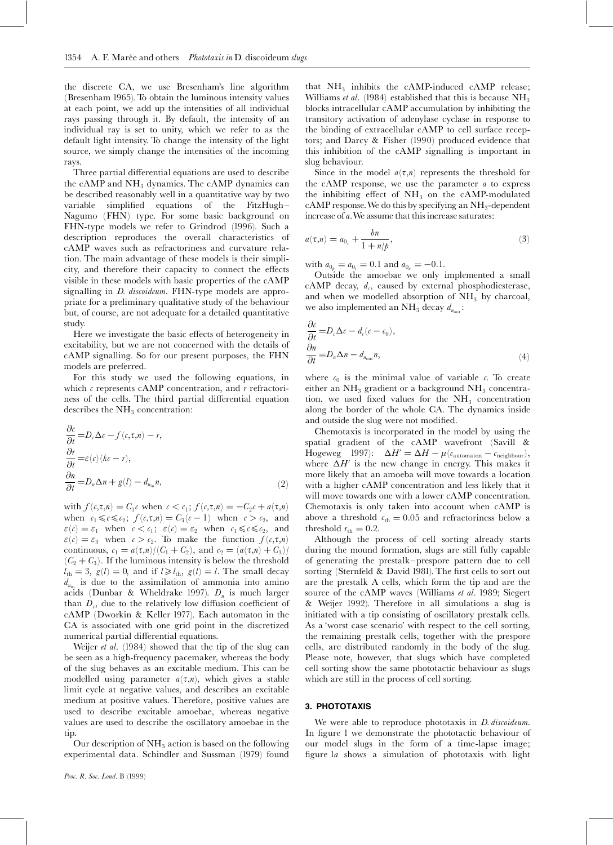the discrete CA, we use Bresenham's line algorithm (Bresenham 1965). To obtain the luminous intensity values at each point, we add up the intensities of all individual rays passing through it. By default, the intensity of an individual ray is set to unity, which we refer to as the default light intensity. To change the intensity of the light source, we simply change the intensities of the incoming rays.

Three partial differential equations are used to describe the cAMP and  $NH<sub>3</sub>$  dynamics. The cAMP dynamics can be described reasonably well in a quantitative way by two variable simplified equations of the FitzHugh-Nagumo (FHN) type. For some basic background on FHN-type models we refer to Grindrod (1996). Such a description reproduces the overall characteristics of cAMP waves such as refractoriness and curvature relation. The main advantage of these models is their simplicity, and therefore their capacity to connect the effects visible in these models with basic properties of the cAMP signalling in *D. discoideum*. FHN-type models are appropriate for a preliminary qualitative study of the behaviour but, of course, are not adequate for a detailed quantitative study.

Here we investigate the basic effects of heterogeneity in excitability, but we are not concerned with the details of cAMP signalling. So for our present purposes, the FHN models are preferred.

For this study we used the following equations, in which  $\epsilon$  represents cAMP concentration, and  $r$  refractoriness of the cells. The third partial differential equation describes the  $NH<sub>3</sub>$  concentration:

$$
\frac{\partial c}{\partial t} = D_c \Delta c - f(c, \tau, n) - r,
$$
  
\n
$$
\frac{\partial r}{\partial t} = \varepsilon(c)(kc - r),
$$
  
\n
$$
\frac{\partial n}{\partial t} = D_n \Delta n + g(l) - d_{n_{in}} n,
$$
\n(2)

with  $f(c,\tau,n) = C_1c$  when  $c < c_1$ ;  $f(c,\tau,n) = -C_2c + a(\tau,n)$ when  $c_1 \leq c \leq c_2$ ;  $f(c,\tau,n) = C_3(c-1)$  when  $c > c_2$ , and  $\varepsilon(\mathbf{c}) = \varepsilon_1$  when  $\mathbf{c} < \mathbf{c}_1$ ;  $\varepsilon(\mathbf{c}) = \varepsilon_2$  when  $\mathbf{c}_1 \leq \mathbf{c} \leq \mathbf{c}_2$ , and  $\varepsilon$ (c) =  $\varepsilon_3$  when  $c > c_2$ . To make the function  $f(c,\tau,n)$ continuous,  $c_1 = a(\tau,n)/(C_1 + C_2)$ , and  $c_2 = (a(\tau,n) + C_3)$  $(C_2 + C_3)$ . If the luminous intensity is below the threshold  $l_{\text{th}} = 3$ ,  $g(l) = 0$ , and if  $l \ge l_{\text{th}}$ ,  $g(l) = l$ . The small decay  $d_{n_{\text{in}}}$  is due to the assimilation of ammonia into amino acids (Dunbar & Wheldrake 1997).  $D_n$  is much larger than  $D_c$ , due to the relatively low diffusion coefficient of cAMP (Dworkin & Keller 1977). Each automaton in the CA is associated with one grid point in the discretized numerical partial differential equations.

Weijer *et al.* (1984) showed that the tip of the slug can be seen as a high-frequency pacemaker, whereas the body of the slug behaves as an excitable medium. This can be modelled using parameter  $a(\tau,n)$ , which gives a stable limit cycle at negative values, and describes an excitable medium at positive values. Therefore, positive values are used to describe excitable amoebae, whereas negative values are used to describe the oscillatory amoebae in the tip.

Our description of  $NH<sub>3</sub>$  action is based on the following experimental data. Schindler and Sussman (1979) found

that  $NH_3$  inhibits the cAMP-induced cAMP release; Williams *et al.* (1984) established that this is because  $NH<sub>3</sub>$ blocks intracellular cAMP accumulation by inhibiting the transitory activation of adenylase cyclase in response to the binding of extracellular cAMP to cell surface receptors; and Darcy & Fisher (1990) produced evidence that this inhibition of the cAMP signalling is important in slug behaviour.

Since in the model  $a(\tau,n)$  represents the threshold for the cAMP response, we use the parameter  $a$  to express the inhibiting effect of  $NH<sub>3</sub>$  on the cAMP-modulated cAMP response. We do this by specifying an  $NH<sub>3</sub>$ -dependent increase of  $a$ . We assume that this increase saturates:

$$
a(\tau, n) = a_{0_{\tau}} + \frac{bn}{1 + n/p},
$$
\n(3)

with  $a_{0} = a_{0} = 0.1$  and  $a_{0} = -0.1$ .

Outside the amoebae we only implemented a small cAMP decay,  $d_c$ , caused by external phosphodiesterase, and when we modelled absorption of  $NH<sub>3</sub>$  by charcoal, we also implemented an  $\mathrm{NH}_3$  decay  $d_{n_{\rm out}}$ :

$$
\frac{\partial c}{\partial t} = D_c \Delta c - d_c (c - c_0),
$$
  
\n
$$
\frac{\partial n}{\partial t} = D_n \Delta n - d_{n_{\text{out}}} n,
$$
\n(4)

where  $c_0$  is the minimal value of variable c. To create either an  $NH_3$  gradient or a background  $NH_3$  concentration, we used fixed values for the  $NH<sub>3</sub>$  concentration along the border of the whole CA. The dynamics inside and outside the slug were not modified.

Chemotaxis is incorporated in the model by using the spatial gradient of the cAMP wavefront (Savill & Hogeweg 1997):  $\Delta H' = \Delta H - \mu (c_{\rm automaton} - c_{\rm neighbour}),$ where  $\Delta H'$  is the new change in energy. This makes it more likely that an amoeba will move towards a location with a higher cAMP concentration and less likely that it will move towards one with a lower cAMP concentration. Chemotaxis is only taken into account when cAMP is above a threshold  $c_{\text{th}} = 0.05$  and refractoriness below a threshold  $r_{\text{th}} = 0.2$ .

Although the process of cell sorting already starts during the mound formation, slugs are still fully capable of generating the prestalk^prespore pattern due to cell sorting (Sternfeld & David 1981). The first cells to sort out are the prestalk A cells, which form the tip and are the source of the cAMP waves (Williams et al. 1989; Siegert & Weijer 1992). Therefore in all simulations a slug is initiated with a tip consisting of oscillatory prestalk cells. As a 'worst case scenario' with respect to the cell sorting, the remaining prestalk cells, together with the prespore cells, are distributed randomly in the body of the slug. Please note, however, that slugs which have completed cell sorting show the same phototactic behaviour as slugs which are still in the process of cell sorting.

#### 3. PHOTOTAXIS

We were able to reproduce phototaxis in *D. discoideum*. In figure 1 we demonstrate the phototactic behaviour of our model slugs in the form of a time-lapse image; figure la shows a simulation of phototaxis with light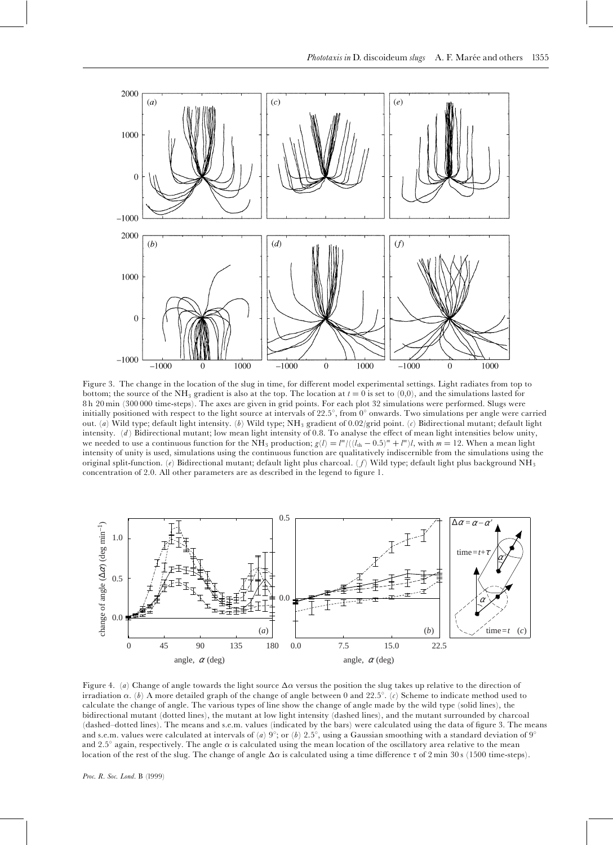

Figure 3. The change in the location of the slug in time, for different model experimental settings. Light radiates from top to bottom; the source of the NH<sub>3</sub> gradient is also at the top. The location at  $t = 0$  is set to  $(0,0)$ , and the simulations lasted for 8 h 20 min (300 000 time-steps). The axes are given in grid points. For each plot 32 simulations were performed. Slugs were initially positioned with respect to the light source at intervals of  $22.5^{\circ}$ , from  $0^{\circ}$  onwards. Two simulations per angle were carried out. (a) Wild type; default light intensity. (b) Wild type; NH<sub>3</sub> gradient of 0.02/grid point. (c) Bidirectional mutant; default light intensity. (d) Bidirectional mutant; low mean light intensity of 0.8. To analyse the effect of mean light intensities below unity, we needed to use a continuous function for the NH<sub>3</sub> production;  $g(l) = l^m/((l_{th} - 0.5)^m + l^m)l$ , with  $m = 12$ . When a mean light intensity of unity is used, simulations using the continuous function are qualitatively indiscernible from the simulations using the original split-function. (e) Bidirectional mutant; default light plus charcoal. (f) Wild type; default light plus background NH<sub>3</sub> concentration of 2.0. All other parameters are as described in the legend to figure 1.



Figure 4. (a) Change of angle towards the light source  $\Delta\alpha$  versus the position the slug takes up relative to the direction of irradiation  $\alpha$ . (b) A more detailed graph of the change of angle between 0 and 22.5°. (c) Scheme to indicate method used to calculate the change of angle. The various types of line show the change of angle made by the wild type (solid lines), the bidirectional mutant (dotted lines), the mutant at low light intensity (dashed lines), and the mutant surrounded by charcoal (dashed–dotted lines). The means and s.e.m. values (indicated by the bars) were calculated using the data of figure 3. The means and s.e.m. values were calculated at intervals of (a)  $9^{\circ}$ ; or (b)  $2.5^{\circ}$ , using a Gaussian smoothing with a standard deviation of  $9^{\circ}$ and 2.5 $^{\circ}$  again, respectively. The angle  $\alpha$  is calculated using the mean location of the oscillatory area relative to the mean location of the rest of the slug. The change of angle  $\Delta\alpha$  is calculated using a time difference  $\tau$  of 2 min 30 s (1500 time-steps).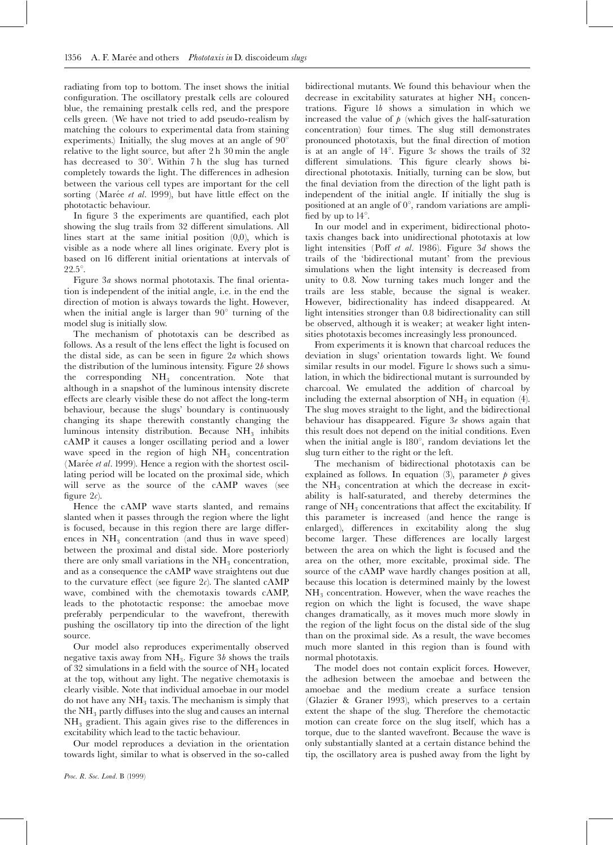radiating from top to bottom. The inset shows the initial configuration. The oscillatory prestalk cells are coloured blue, the remaining prestalk cells red, and the prespore cells green. (We have not tried to add pseudo-realism by matching the colours to experimental data from staining experiments.) Initially, the slug moves at an angle of  $90^{\circ}$ relative to the light source, but after 2 h 30 min the angle has decreased to  $30^\circ$ . Within 7 h the slug has turned completely towards the light. The differences in adhesion between the various cell types are important for the cell sorting (Marée et al. 1999), but have little effect on the phototactic behaviour.

In figure 3 the experiments are quantified, each plot showing the slug trails from 32 different simulations. All lines start at the same initial position (0,0), which is visible as a node where all lines originate. Every plot is based on 16 different initial orientations at intervals of  $22.5^\circ$ .

Figure 3a shows normal phototaxis. The final orientation is independent of the initial angle, i.e. in the end the direction of motion is always towards the light. However, when the initial angle is larger than  $90^\circ$  turning of the model slug is initially slow.

The mechanism of phototaxis can be described as follows. As a result of the lens effect the light is focused on the distal side, as can be seen in figure  $2a$  which shows the distribution of the luminous intensity. Figure  $2b$  shows the corresponding  $NH<sub>3</sub>$  concentration. Note that although in a snapshot of the luminous intensity discrete effects are clearly visible these do not affect the long-term behaviour, because the slugs' boundary is continuously changing its shape therewith constantly changing the luminous intensity distribution. Because  $NH<sub>3</sub>$  inhibits cAMP it causes a longer oscillating period and a lower wave speed in the region of high  $NH<sub>3</sub>$  concentration (Marée et al. 1999). Hence a region with the shortest oscillating period will be located on the proximal side, which will serve as the source of the cAMP waves (see figure  $2c$ ).

Hence the cAMP wave starts slanted, and remains slanted when it passes through the region where the light is focused, because in this region there are large differences in  $NH<sub>3</sub>$  concentration (and thus in wave speed) between the proximal and distal side. More posteriorly there are only small variations in the  $NH<sub>3</sub>$  concentration, and as a consequence the cAMP wave straightens out due to the curvature effect (see figure  $2c$ ). The slanted cAMP wave, combined with the chemotaxis towards cAMP, leads to the phototactic response: the amoebae move preferably perpendicular to the wavefront, therewith pushing the oscillatory tip into the direction of the light source.

Our model also reproduces experimentally observed negative taxis away from  $NH<sub>3</sub>$ . Figure 3b shows the trails of 32 simulations in a field with the source of  $NH<sub>3</sub>$  located at the top, without any light. The negative chemotaxis is clearly visible. Note that individual amoebae in our model do not have any  $NH<sub>3</sub>$  taxis. The mechanism is simply that the  $NH<sub>3</sub>$  partly diffuses into the slug and causes an internal  $NH<sub>3</sub>$  gradient. This again gives rise to the differences in excitability which lead to the tactic behaviour.

Our model reproduces a deviation in the orientation towards light, similar to what is observed in the so-called

bidirectional mutants. We found this behaviour when the decrease in excitability saturates at higher  $NH<sub>3</sub>$  concentrations. Figure 1b shows a simulation in which we increased the value of  $\phi$  (which gives the half-saturation concentration) four times. The slug still demonstrates pronounced phototaxis, but the final direction of motion is at an angle of  $14^\circ$ . Figure  $3c$  shows the trails of  $32$ different simulations. This figure clearly shows bidirectional phototaxis. Initially, turning can be slow, but the final deviation from the direction of the light path is independent of the initial angle. If initially the slug is positioned at an angle of  $0^\circ$ , random variations are amplified by up to  $14^\circ$ .

In our model and in experiment, bidirectional phototaxis changes back into unidirectional phototaxis at low light intensities (Poff et al. 1986). Figure  $3d$  shows the trails of the `bidirectional mutant' from the previous simulations when the light intensity is decreased from unity to 0.8. Now turning takes much longer and the trails are less stable, because the signal is weaker. However, bidirectionality has indeed disappeared. At light intensities stronger than 0.8 bidirectionality can still be observed, although it is weaker; at weaker light intensities phototaxis becomes increasingly less pronounced.

From experiments it is known that charcoal reduces the deviation in slugs' orientation towards light. We found similar results in our model. Figure  $1c$  shows such a simulation, in which the bidirectional mutant is surrounded by charcoal. We emulated the addition of charcoal by including the external absorption of  $NH<sub>3</sub>$  in equation (4). The slug moves straight to the light, and the bidirectional behaviour has disappeared. Figure  $3e$  shows again that this result does not depend on the initial conditions. Even when the initial angle is  $180^\circ$ , random deviations let the slug turn either to the right or the left.

The mechanism of bidirectional phototaxis can be explained as follows. In equation (3), parameter  $\dot{p}$  gives the  $NH<sub>3</sub>$  concentration at which the decrease in excitability is half-saturated, and thereby determines the range of  $NH_3$  concentrations that affect the excitability. If this parameter is increased (and hence the range is enlarged), differences in excitability along the slug become larger. These differences are locally largest between the area on which the light is focused and the area on the other, more excitable, proximal side. The source of the cAMP wave hardly changes position at all, because this location is determined mainly by the lowest  $NH<sub>3</sub>$  concentration. However, when the wave reaches the region on which the light is focused, the wave shape changes dramatically, as it moves much more slowly in the region of the light focus on the distal side of the slug than on the proximal side. As a result, the wave becomes much more slanted in this region than is found with normal phototaxis.

The model does not contain explicit forces. However, the adhesion between the amoebae and between the amoebae and the medium create a surface tension (Glazier & Graner 1993), which preserves to a certain extent the shape of the slug. Therefore the chemotactic motion can create force on the slug itself, which has a torque, due to the slanted wavefront. Because the wave is only substantially slanted at a certain distance behind the tip, the oscillatory area is pushed away from the light by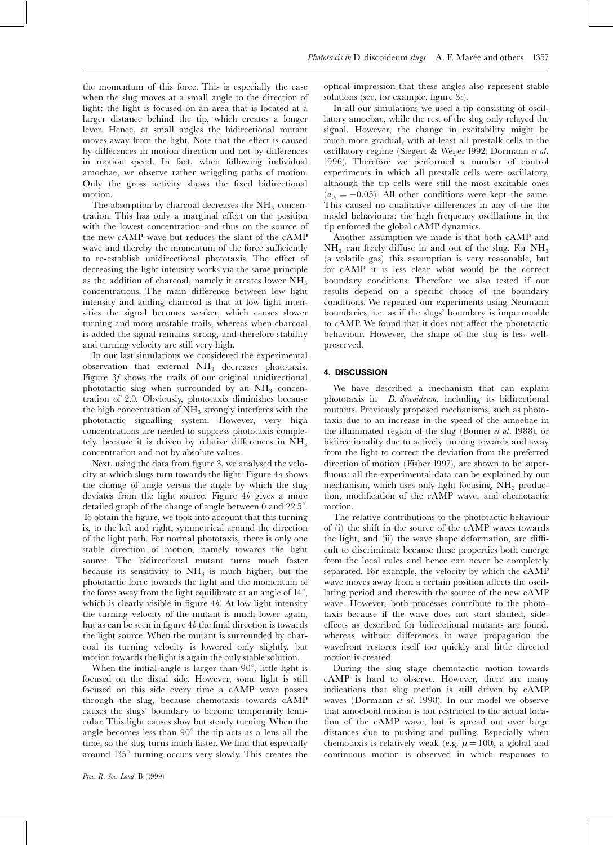the momentum of this force. This is especially the case when the slug moves at a small angle to the direction of light: the light is focused on an area that is located at a larger distance behind the tip, which creates a longer lever. Hence, at small angles the bidirectional mutant moves away from the light. Note that the effect is caused by differences in motion direction and not by differences in motion speed. In fact, when following individual amoebae, we observe rather wriggling paths of motion. Only the gross activity shows the fixed bidirectional motion.

The absorption by charcoal decreases the  $NH<sub>3</sub>$  concentration. This has only a marginal effect on the position with the lowest concentration and thus on the source of the new cAMP wave but reduces the slant of the cAMP wave and thereby the momentum of the force sufficiently to re-establish unidirectional phototaxis. The effect of decreasing the light intensity works via the same principle as the addition of charcoal, namely it creates lower  $NH<sub>3</sub>$ concentrations. The main difference between low light intensity and adding charcoal is that at low light intensities the signal becomes weaker, which causes slower turning and more unstable trails, whereas when charcoal is added the signal remains strong, and therefore stability and turning velocity are still very high.

In our last simulations we considered the experimental observation that external  $NH<sub>3</sub>$  decreases phototaxis. Figure 3f shows the trails of our original unidirectional phototactic slug when surrounded by an  $NH<sub>3</sub>$  concentration of 2.0. Obviously, phototaxis diminishes because the high concentration of  $NH<sub>3</sub>$  strongly interferes with the phototactic signalling system. However, very high concentrations are needed to suppress phototaxis completely, because it is driven by relative differences in  $NH<sub>3</sub>$ concentration and not by absolute values.

Next, using the data from figure 3, we analysed the velocity at which slugs turn towards the light. Figure 4a shows the change of angle versus the angle by which the slug deviates from the light source. Figure 4b gives a more detailed graph of the change of angle between 0 and  $22.5^{\circ}$ . To obtain the figure, we took into account that this turning is, to the left and right, symmetrical around the direction of the light path. For normal phototaxis, there is only one stable direction of motion, namely towards the light source. The bidirectional mutant turns much faster because its sensitivity to  $NH<sub>3</sub>$  is much higher, but the phototactic force towards the light and the momentum of the force away from the light equilibrate at an angle of  $14^{\circ}$ , which is clearly visible in figure  $4b$ . At low light intensity the turning velocity of the mutant is much lower again, but as can be seen in figure  $4b$  the final direction is towards the light source. When the mutant is surrounded by charcoal its turning velocity is lowered only slightly, but motion towards the light is again the only stable solution.

When the initial angle is larger than  $90^\circ$ , little light is focused on the distal side. However, some light is still focused on this side every time a cAMP wave passes through the slug, because chemotaxis towards cAMP causes the slugs' boundary to become temporarily lenticular. This light causes slow but steady turning. When the angle becomes less than  $90^\circ$  the tip acts as a lens all the time, so the slug turns much faster. We find that especially around  $135^\circ$  turning occurs very slowly. This creates the optical impression that these angles also represent stable solutions (see, for example, figure  $3c$ ).

In all our simulations we used a tip consisting of oscillatory amoebae, while the rest of the slug only relayed the signal. However, the change in excitability might be much more gradual, with at least all prestalk cells in the oscillatory regime (Siegert & Weijer 1992; Dormann et al. 1996). Therefore we performed a number of control experiments in which all prestalk cells were oscillatory, although the tip cells were still the most excitable ones  $(a_{0.} = -0.05)$ . All other conditions were kept the same. This caused no qualitative differences in any of the the model behaviours: the high frequency oscillations in the tip enforced the global cAMP dynamics.

Another assumption we made is that both cAMP and  $NH<sub>3</sub>$  can freely diffuse in and out of the slug. For  $NH<sub>3</sub>$ (a volatile gas) this assumption is very reasonable, but for cAMP it is less clear what would be the correct boundary conditions. Therefore we also tested if our results depend on a specific choice of the boundary conditions. We repeated our experiments using Neumann boundaries, i.e. as if the slugs' boundary is impermeable to cAMP. We found that it does not affect the phototactic behaviour. However, the shape of the slug is less wellpreserved.

# 4. DISCUSSION

We have described a mechanism that can explain phototaxis in D. discoideum, including its bidirectional mutants. Previously proposed mechanisms, such as phototaxis due to an increase in the speed of the amoebae in the illuminated region of the slug (Bonner et al. 1988), or bidirectionality due to actively turning towards and away from the light to correct the deviation from the preferred direction of motion (Fisher 1997), are shown to be super fluous: all the experimental data can be explained by our mechanism, which uses only light focusing,  $NH<sub>3</sub>$  production, modification of the cAMP wave, and chemotactic motion.

The relative contributions to the phototactic behaviour of (i) the shift in the source of the cAMP waves towards the light, and (ii) the wave shape deformation, are difficult to discriminate because these properties both emerge from the local rules and hence can never be completely separated. For example, the velocity by which the cAMP wave moves away from a certain position affects the oscillating period and therewith the source of the new cAMP wave. However, both processes contribute to the phototaxis because if the wave does not start slanted, sideeffects as described for bidirectional mutants are found, whereas without differences in wave propagation the wavefront restores itself too quickly and little directed motion is created.

During the slug stage chemotactic motion towards cAMP is hard to observe. However, there are many indications that slug motion is still driven by cAMP waves (Dormann et al. 1998). In our model we observe that amoeboid motion is not restricted to the actual location of the cAMP wave, but is spread out over large distances due to pushing and pulling. Especially when chemotaxis is relatively weak (e.g.  $\mu = 100$ ), a global and continuous motion is observed in which responses to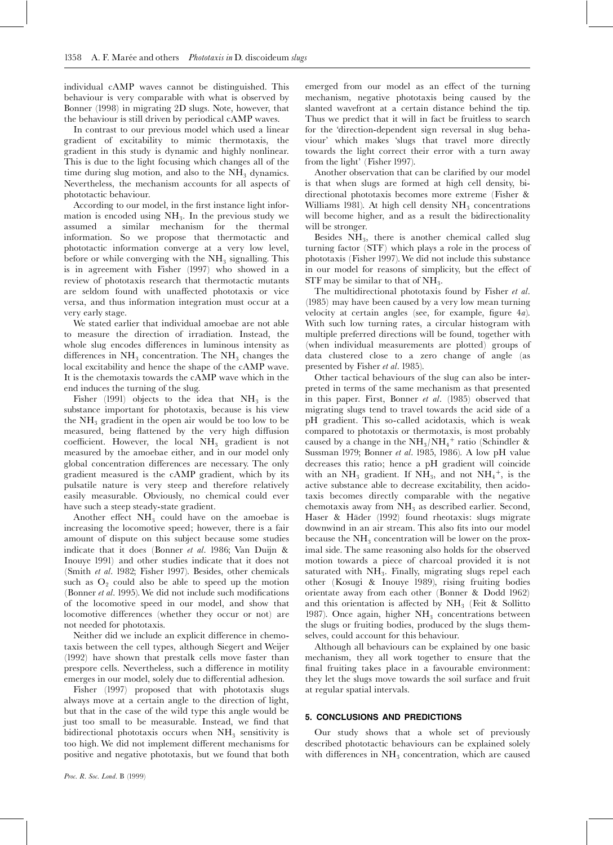individual cAMP waves cannot be distinguished. This behaviour is very comparable with what is observed by Bonner (1998) in migrating 2D slugs. Note, however, that the behaviour is still driven by periodical cAMP waves.

In contrast to our previous model which used a linear gradient of excitability to mimic thermotaxis, the gradient in this study is dynamic and highly nonlinear. This is due to the light focusing which changes all of the time during slug motion, and also to the  $NH<sub>3</sub>$  dynamics. Nevertheless, the mechanism accounts for all aspects of phototactic behaviour.

According to our model, in the first instance light information is encoded using  $NH<sub>3</sub>$ . In the previous study we assumed a similar mechanism for the thermal information. So we propose that thermotactic and phototactic information converge at a very low level, before or while converging with the  $NH<sub>3</sub>$  signalling. This is in agreement with Fisher (1997) who showed in a review of phototaxis research that thermotactic mutants are seldom found with unaffected phototaxis or vice versa, and thus information integration must occur at a very early stage.

We stated earlier that individual amoebae are not able to measure the direction of irradiation. Instead, the whole slug encodes differences in luminous intensity as differences in  $NH_3$  concentration. The  $NH_3$  changes the local excitability and hence the shape of the cAMP wave. It is the chemotaxis towards the cAMP wave which in the end induces the turning of the slug.

Fisher (1991) objects to the idea that  $NH<sub>3</sub>$  is the substance important for phototaxis, because is his view the  $NH<sub>3</sub>$  gradient in the open air would be too low to be measured, being flattened by the very high diffusion coefficient. However, the local NH<sub>3</sub> gradient is not measured by the amoebae either, and in our model only global concentration differences are necessary. The only gradient measured is the cAMP gradient, which by its pulsatile nature is very steep and therefore relatively easily measurable. Obviously, no chemical could ever have such a steep steady-state gradient.

Another effect  $NH<sub>3</sub>$  could have on the amoebae is increasing the locomotive speed; however, there is a fair amount of dispute on this subject because some studies indicate that it does (Bonner et al. 1986; Van Duijn & Inouye 1991) and other studies indicate that it does not (Smith et al. 1982; Fisher 1997). Besides, other chemicals such as  $O_2$  could also be able to speed up the motion (Bonner  $et$  al. 1995). We did not include such modifications of the locomotive speed in our model, and show that locomotive differences (whether they occur or not) are not needed for phototaxis.

Neither did we include an explicit difference in chemotaxis between the cell types, although Siegert and Weijer (1992) have shown that prestalk cells move faster than prespore cells. Nevertheless, such a difference in motility emerges in our model, solely due to differential adhesion.

Fisher (1997) proposed that with phototaxis slugs always move at a certain angle to the direction of light, but that in the case of the wild type this angle would be just too small to be measurable. Instead, we find that bidirectional phototaxis occurs when  $NH<sub>3</sub>$  sensitivity is too high. We did not implement different mechanisms for positive and negative phototaxis, but we found that both

emerged from our model as an effect of the turning mechanism, negative phototaxis being caused by the slanted wavefront at a certain distance behind the tip. Thus we predict that it will in fact be fruitless to search for the 'direction-dependent sign reversal in slug behaviour' which makes `slugs that travel more directly towards the light correct their error with a turn away from the light' (Fisher 1997).

Another observation that can be clarified by our model is that when slugs are formed at high cell density, bidirectional phototaxis becomes more extreme (Fisher & Williams 1981). At high cell density  $NH<sub>3</sub>$  concentrations will become higher, and as a result the bidirectionality will be stronger.

Besides  $NH<sub>3</sub>$ , there is another chemical called slug turning factor (STF) which plays a role in the process of phototaxis (Fisher 1997).We did not include this substance in our model for reasons of simplicity, but the effect of STF may be similar to that of  $NH<sub>3</sub>$ .

The multidirectional phototaxis found by Fisher et al. (1985) may have been caused by a very low mean turning velocity at certain angles (see, for example, figure  $4a$ ). With such low turning rates, a circular histogram with multiple preferred directions will be found, together with (when individual measurements are plotted) groups of data clustered close to a zero change of angle (as presented by Fisher et al. 1985).

Other tactical behaviours of the slug can also be interpreted in terms of the same mechanism as that presented in this paper. First, Bonner et al. (1985) observed that migrating slugs tend to travel towards the acid side of a pH gradient. This so-called acidotaxis, which is weak compared to phototaxis or thermotaxis, is most probably caused by a change in the  $\mathrm{NH}_3/\mathrm{NH}_4{}^+$  ratio (Schindler & Sussman 1979; Bonner et al. 1985, 1986). A low pH value decreases this ratio; hence a pH gradient will coincide with an  $NH_3$  gradient. If  $NH_3$ , and not  $NH_4^+$ , is the active substance able to decrease excitability, then acidotaxis becomes directly comparable with the negative chemotaxis away from  $NH<sub>3</sub>$  as described earlier. Second, Haser & Häder (1992) found rheotaxis: slugs migrate downwind in an air stream. This also fits into our model because the  $NH<sub>3</sub>$  concentration will be lower on the proximal side. The same reasoning also holds for the observed motion towards a piece of charcoal provided it is not saturated with  $NH<sub>3</sub>$ . Finally, migrating slugs repel each other (Kosugi & Inouye 1989), rising fruiting bodies orientate away from each other (Bonner & Dodd 1962) and this orientation is affected by  $NH<sub>3</sub>$  (Feit & Sollitto 1987). Once again, higher  $NH<sub>3</sub>$  concentrations between the slugs or fruiting bodies, produced by the slugs themselves, could account for this behaviour.

Although all behaviours can be explained by one basic mechanism, they all work together to ensure that the final fruiting takes place in a favourable environment: they let the slugs move towards the soil surface and fruit at regular spatial intervals.

# 5. CONCLUSIONS AND PREDICTIONS

Our study shows that a whole set of previously described phototactic behaviours can be explained solely with differences in  $NH<sub>3</sub>$  concentration, which are caused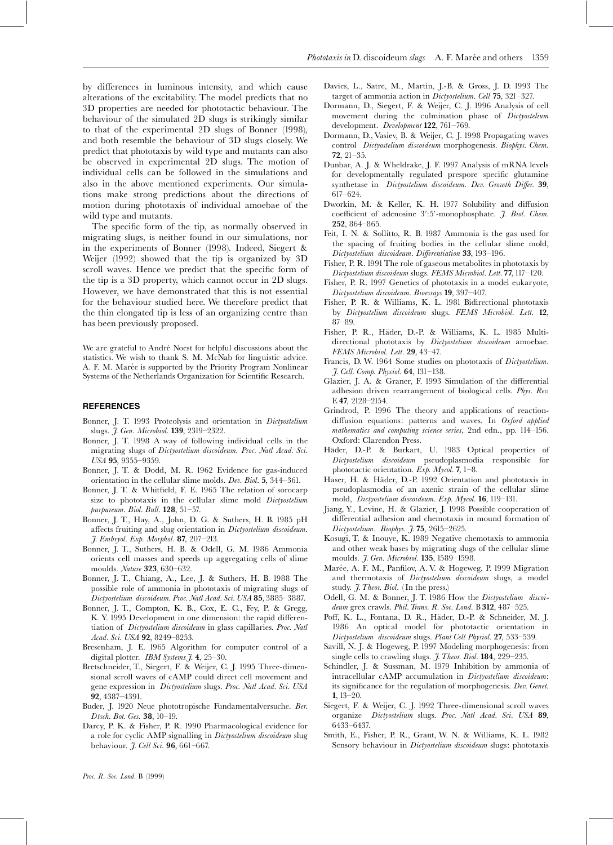by differences in luminous intensity, and which cause alterations of the excitability. The model predicts that no 3D properties are needed for phototactic behaviour. The behaviour of the simulated 2D slugs is strikingly similar to that of the experimental 2D slugs of Bonner (1998), and both resemble the behaviour of 3D slugs closely. We predict that phototaxis by wild type and mutants can also be observed in experimental 2D slugs. The motion of individual cells can be followed in the simulations and also in the above mentioned experiments. Our simulations make strong predictions about the directions of motion during phototaxis of individual amoebae of the wild type and mutants.

The specific form of the tip, as normally observed in migrating slugs, is neither found in our simulations, nor in the experiments of Bonner (1998). Indeed, Siegert & Weijer (1992) showed that the tip is organized by 3D scroll waves. Hence we predict that the specific form of the tip is a 3D property, which cannot occur in 2D slugs. However, we have demonstrated that this is not essential for the behaviour studied here. We therefore predict that the thin elongated tip is less of an organizing centre than has been previously proposed.

We are grateful to André Noest for helpful discussions about the statistics. We wish to thank S. M. McNab for linguistic advice. A. F. M. Marée is supported by the Priority Program Nonlinear Systems of the Netherlands Organization for Scientific Research.

# **REFERENCES**

- Bonner, J. T. 1993 Proteolysis and orientation in Dictyostelium slugs. *J. Gen. Microbiol.* 139, 2319-2322.
- Bonner, J. T. 1998 A way of following individual cells in the migrating slugs of Dictyostelium discoideum. Proc. Natl Acad. Sci.  $USA$  95, 9355-9359.
- Bonner, J. T. & Dodd, M. R. 1962 Evidence for gas-induced orientation in the cellular slime molds. Dev. Biol. 5, 344^361.
- Bonner, J. T. & Whitfield, F. E. 1965 The relation of sorocarp size to phototaxis in the cellular slime mold Dictyostelium purpureum. Biol. Bull.  $128$ ,  $51-57$ .
- Bonner, J. T., Hay, A., John, D. G. & Suthers, H. B. 1985 pH affects fruiting and slug orientation in Dictyostelium discoideum.  $\tilde{J}$ . Embryol. Exp. Morphol. 87, 207-213.
- Bonner, J. T., Suthers, H. B. & Odell, G. M. 1986 Ammonia orients cell masses and speeds up aggregating cells of slime moulds. Nature 323, 630-632.
- Bonner, J. T., Chiang, A., Lee, J. & Suthers, H. B. 1988 The possible role of ammonia in phototaxis of migrating slugs of Dictyostelium discoideum. Proc. Natl Acad. Sci. USA 85, 3885-3887.
- Bonner, J. T., Compton, K. B., Cox, E. C., Fey, P. & Gregg, K. Y. 1995 Development in one dimension: the rapid differentiation of Dictyostelium discoideum in glass capillaries. Proc. Natl Acad. Sci. USA 92, 8249-8253.
- Bresenham, J. E. 1965 Algorithm for computer control of a digital plotter. IBM Systems  $\tilde{\jmath}$ . 4, 25–30.
- Bretschneider, T., Siegert, F. & Weijer, C. J. 1995 Three-dimensional scroll waves of cAMP could direct cell movement and gene expression in Dictyostelium slugs. Proc. Natl Acad. Sci. USA 92, 4387^4391.
- Buder, J. 1920 Neue phototropische Fundamentalversuche. Ber. Dtsch. Bot. Ges. 38, 10-19.
- Darcy, P. K. & Fisher, P. R. 1990 Pharmacological evidence for a role for cyclic AMP signalling in Dictyostelium discoideum slug behaviour. *J. Cell Sci*. **96**, 661-667.
- Davies, L., Satre, M., Martin, J.-B. & Gross, J. D. 1993 The target of ammonia action in Dictyostelium. Cell 75, 321-327.
- Dormann, D., Siegert, F. & Weijer, C. J. 1996 Analysis of cell movement during the culmination phase of Dictyostelium development. Development 122, 761-769.
- Dormann, D., Vasiev, B. & Weijer, C. J. 1998 Propagating waves control Dictyostelium discoideum morphogenesis. Biophys. Chem. 72, 21^35.
- Dunbar, A. J. & Wheldrake, J. F. 1997 Analysis of mRNA levels for developmentally regulated prespore specific glutamine synthetase in Dictyostelium discoideum. Dev. Growth Differ. 39, 617^624.
- Dworkin, M. & Keller, K. H. 1977 Solubility and diffusion coefficient of adenosine 3':5'-monophosphate. J. Biol. Chem. 252, 864^865.
- Feit, I. N. & Sollitto, R. B. 1987 Ammonia is the gas used for the spacing of fruiting bodies in the cellular slime mold, Dictyostelium discoideum. Differentiation 33, 193-196.
- Fisher, P. R. 1991 The role of gaseous metabolites in phototaxis by Dictyostelium discoideum slugs. FEMS Microbiol. Lett. 77, 117-120.
- Fisher, P. R. 1997 Genetics of phototaxis in a model eukaryote, Dictyostelium discoideum. Bioessays 19, 397-407.
- Fisher, P. R. & Williams, K. L. 1981 Bidirectional phototaxis by Dictyostelium discoideum slugs. FEMS Microbiol. Lett. 12, 87^89.
- Fisher, P. R., Häder, D.-P. & Williams, K. L. 1985 Multidirectional phototaxis by Dictyostelium discoideum amoebae. FEMS Microbiol. Lett. 29, 43-47.
- Francis, D. W. 1964 Some studies on phototaxis of Dictyostelium. J. Cell. Comp. Physiol. 64, 131^138.
- Glazier, J. A. & Graner, F. 1993 Simulation of the differential adhesion driven rearrangement of biological cells. Phys. Rev. E 47, 2128-2154.
- Grindrod, P. 1996 The theory and applications of reactiondiffusion equations: patterns and waves. In  $Ox$ ford applied mathematics and computing science series, 2nd edn., pp. 114-156. Oxford: Clarendon Press.
- Häder, D.-P. & Burkart, U. 1983 Optical properties of Dictyostelium discoideum pseudoplasmodia responsible for phototactic orientation. Exp. Mycol. 7, 1-8.
- Haser, H. & Häder, D.-P. 1992 Orientation and phototaxis in pseudoplasmodia of an axenic strain of the cellular slime mold, Dictyostelium discoideum. Exp. Mycol. 16, 119-131.
- Jiang, Y., Levine, H. & Glazier, J. 1998 Possible cooperation of differential adhesion and chemotaxis in mound formation of Dictyostelium. Biophys. J. 75, 2615-2625.
- Kosugi, T. & Inouye, K. 1989 Negative chemotaxis to ammonia and other weak bases by migrating slugs of the cellular slime moulds. *J. Gen. Microbiol.* 135, 1589-1598.
- Marée, A. F. M., Panfilov, A. V. & Hogeweg, P. 1999 Migration and thermotaxis of Dictyostelium discoideum slugs, a model study. *J. Theor. Biol.* (In the press.)
- Odell, G. M. & Bonner, J. T. 1986 How the Dictyostelium discoideum grex crawls. Phil. Trans. R. Soc. Lond.  $B$  312, 487-525.
- Poff, K. L., Fontana, D. R., Häder, D.-P. & Schneider, M. J. 1986 An optical model for phototactic orientation in Dictyostelium discoideum slugs. Plant Cell Physiol. 27, 533-539.
- Savill, N. J. & Hogeweg, P. 1997 Modeling morphogenesis: from single cells to crawling slugs.  $J.$  Theor. Biol. 184, 229-235.
- Schindler, J. & Sussman, M. 1979 Inhibition by ammonia of intracellular cAMP accumulation in Dictyostelium discoideum: its significance for the regulation of morphogenesis. Dev. Genet. 1,  $13-20$ .
- Siegert, F. & Weijer, C. J. 1992 Three-dimensional scroll waves organize Dictyostelium slugs. Proc. Natl Acad. Sci. USA 89, 6433^6437.
- Smith, E., Fisher, P. R., Grant, W. N. & Williams, K. L. 1982 Sensory behaviour in Dictyostelium discoideum slugs: phototaxis